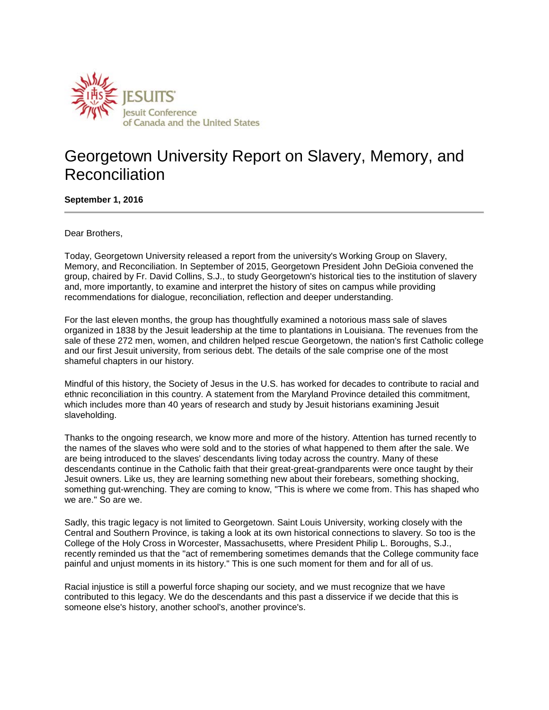

## Georgetown University Report on Slavery, Memory, and Reconciliation

**September 1, 2016**

Dear Brothers,

Today, Georgetown University released a report from the university's Working Group on Slavery, Memory, and Reconciliation. In September of 2015, Georgetown President John DeGioia convened the group, chaired by Fr. David Collins, S.J., to study Georgetown's historical ties to the institution of slavery and, more importantly, to examine and interpret the history of sites on campus while providing recommendations for dialogue, reconciliation, reflection and deeper understanding.

For the last eleven months, the group has thoughtfully examined a notorious mass sale of slaves organized in 1838 by the Jesuit leadership at the time to plantations in Louisiana. The revenues from the sale of these 272 men, women, and children helped rescue Georgetown, the nation's first Catholic college and our first Jesuit university, from serious debt. The details of the sale comprise one of the most shameful chapters in our history.

Mindful of this history, the Society of Jesus in the U.S. has worked for decades to contribute to racial and ethnic reconciliation in this country. A statement from the Maryland Province detailed this commitment, which includes more than 40 years of research and study by Jesuit historians examining Jesuit slaveholding.

Thanks to the ongoing research, we know more and more of the history. Attention has turned recently to the names of the slaves who were sold and to the stories of what happened to them after the sale. We are being introduced to the slaves' descendants living today across the country. Many of these descendants continue in the Catholic faith that their great-great-grandparents were once taught by their Jesuit owners. Like us, they are learning something new about their forebears, something shocking, something gut-wrenching. They are coming to know, "This is where we come from. This has shaped who we are." So are we.

Sadly, this tragic legacy is not limited to Georgetown. Saint Louis University, working closely with the Central and Southern Province, is taking a look at its own historical connections to slavery. So too is the College of the Holy Cross in Worcester, Massachusetts, where President Philip L. Boroughs, S.J., recently reminded us that the "act of remembering sometimes demands that the College community face painful and unjust moments in its history." This is one such moment for them and for all of us.

Racial injustice is still a powerful force shaping our society, and we must recognize that we have contributed to this legacy. We do the descendants and this past a disservice if we decide that this is someone else's history, another school's, another province's.